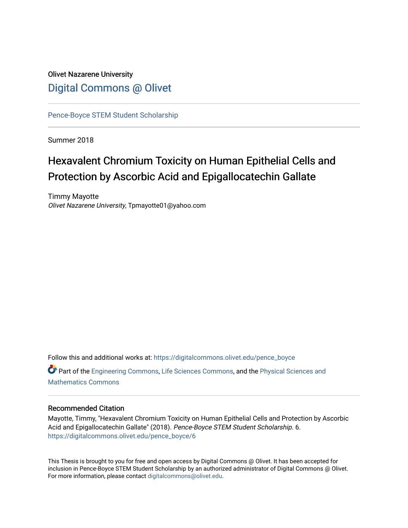# Olivet Nazarene University [Digital Commons @ Olivet](https://digitalcommons.olivet.edu/)

[Pence-Boyce STEM Student Scholarship](https://digitalcommons.olivet.edu/pence_boyce) 

Summer 2018

# Hexavalent Chromium Toxicity on Human Epithelial Cells and Protection by Ascorbic Acid and Epigallocatechin Gallate

Timmy Mayotte Olivet Nazarene University, Tpmayotte01@yahoo.com

Follow this and additional works at: [https://digitalcommons.olivet.edu/pence\\_boyce](https://digitalcommons.olivet.edu/pence_boyce?utm_source=digitalcommons.olivet.edu%2Fpence_boyce%2F6&utm_medium=PDF&utm_campaign=PDFCoverPages)  Part of the [Engineering Commons](http://network.bepress.com/hgg/discipline/217?utm_source=digitalcommons.olivet.edu%2Fpence_boyce%2F6&utm_medium=PDF&utm_campaign=PDFCoverPages), [Life Sciences Commons](http://network.bepress.com/hgg/discipline/1016?utm_source=digitalcommons.olivet.edu%2Fpence_boyce%2F6&utm_medium=PDF&utm_campaign=PDFCoverPages), and the [Physical Sciences and](http://network.bepress.com/hgg/discipline/114?utm_source=digitalcommons.olivet.edu%2Fpence_boyce%2F6&utm_medium=PDF&utm_campaign=PDFCoverPages) [Mathematics Commons](http://network.bepress.com/hgg/discipline/114?utm_source=digitalcommons.olivet.edu%2Fpence_boyce%2F6&utm_medium=PDF&utm_campaign=PDFCoverPages)

# Recommended Citation

Mayotte, Timmy, "Hexavalent Chromium Toxicity on Human Epithelial Cells and Protection by Ascorbic Acid and Epigallocatechin Gallate" (2018). Pence-Boyce STEM Student Scholarship. 6. [https://digitalcommons.olivet.edu/pence\\_boyce/6](https://digitalcommons.olivet.edu/pence_boyce/6?utm_source=digitalcommons.olivet.edu%2Fpence_boyce%2F6&utm_medium=PDF&utm_campaign=PDFCoverPages) 

This Thesis is brought to you for free and open access by Digital Commons @ Olivet. It has been accepted for inclusion in Pence-Boyce STEM Student Scholarship by an authorized administrator of Digital Commons @ Olivet. For more information, please contact [digitalcommons@olivet.edu](mailto:digitalcommons@olivet.edu).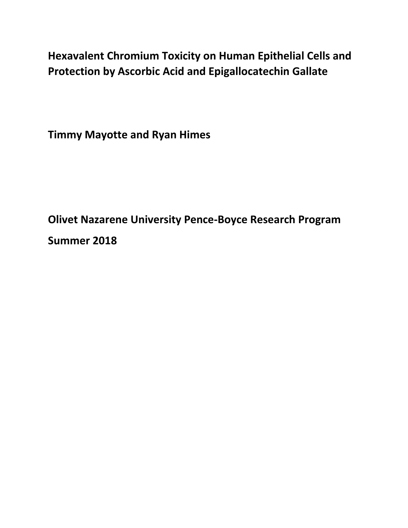**Hexavalent Chromium Toxicity on Human Epithelial Cells and Protection by Ascorbic Acid and Epigallocatechin Gallate** 

**Timmy Mayotte and Ryan Himes**

**Olivet Nazarene University Pence-Boyce Research Program Summer 2018**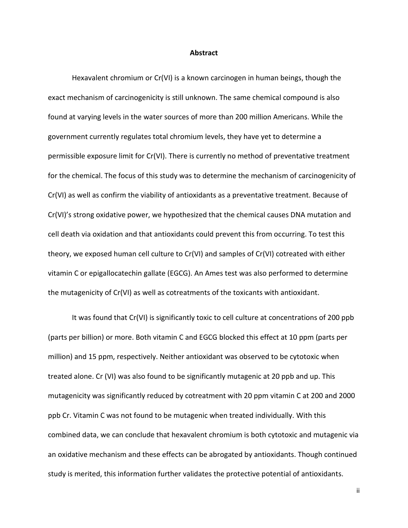#### **Abstract**

Hexavalent chromium or Cr(VI) is a known carcinogen in human beings, though the exact mechanism of carcinogenicity is still unknown. The same chemical compound is also found at varying levels in the water sources of more than 200 million Americans. While the government currently regulates total chromium levels, they have yet to determine a permissible exposure limit for Cr(VI). There is currently no method of preventative treatment for the chemical. The focus of this study was to determine the mechanism of carcinogenicity of Cr(VI) as well as confirm the viability of antioxidants as a preventative treatment. Because of Cr(VI)'s strong oxidative power, we hypothesized that the chemical causes DNA mutation and cell death via oxidation and that antioxidants could prevent this from occurring. To test this theory, we exposed human cell culture to Cr(VI) and samples of Cr(VI) cotreated with either vitamin C or epigallocatechin gallate (EGCG). An Ames test was also performed to determine the mutagenicity of Cr(VI) as well as cotreatments of the toxicants with antioxidant.

It was found that Cr(VI) is significantly toxic to cell culture at concentrations of 200 ppb (parts per billion) or more. Both vitamin C and EGCG blocked this effect at 10 ppm (parts per million) and 15 ppm, respectively. Neither antioxidant was observed to be cytotoxic when treated alone. Cr (VI) was also found to be significantly mutagenic at 20 ppb and up. This mutagenicity was significantly reduced by cotreatment with 20 ppm vitamin C at 200 and 2000 ppb Cr. Vitamin C was not found to be mutagenic when treated individually. With this combined data, we can conclude that hexavalent chromium is both cytotoxic and mutagenic via an oxidative mechanism and these effects can be abrogated by antioxidants. Though continued study is merited, this information further validates the protective potential of antioxidants.

ii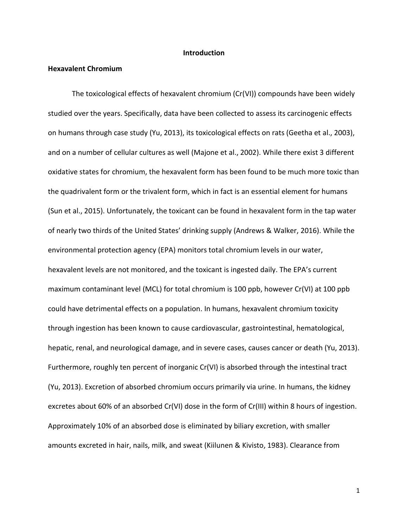#### **Introduction**

#### **Hexavalent Chromium**

The toxicological effects of hexavalent chromium (Cr(VI)) compounds have been widely studied over the years. Specifically, data have been collected to assess its carcinogenic effects on humans through case study (Yu, 2013), its toxicological effects on rats (Geetha et al., 2003), and on a number of cellular cultures as well (Majone et al., 2002). While there exist 3 different oxidative states for chromium, the hexavalent form has been found to be much more toxic than the quadrivalent form or the trivalent form, which in fact is an essential element for humans (Sun et al., 2015). Unfortunately, the toxicant can be found in hexavalent form in the tap water of nearly two thirds of the United States' drinking supply (Andrews & Walker, 2016). While the environmental protection agency (EPA) monitors total chromium levels in our water, hexavalent levels are not monitored, and the toxicant is ingested daily. The EPA's current maximum contaminant level (MCL) for total chromium is 100 ppb, however Cr(VI) at 100 ppb could have detrimental effects on a population. In humans, hexavalent chromium toxicity through ingestion has been known to cause cardiovascular, gastrointestinal, hematological, hepatic, renal, and neurological damage, and in severe cases, causes cancer or death (Yu, 2013). Furthermore, roughly ten percent of inorganic Cr(VI) is absorbed through the intestinal tract (Yu, 2013). Excretion of absorbed chromium occurs primarily via urine. In humans, the kidney excretes about 60% of an absorbed Cr(VI) dose in the form of Cr(III) within 8 hours of ingestion. Approximately 10% of an absorbed dose is eliminated by biliary excretion, with smaller amounts excreted in hair, nails, milk, and sweat (Kiilunen & Kivisto, 1983). Clearance from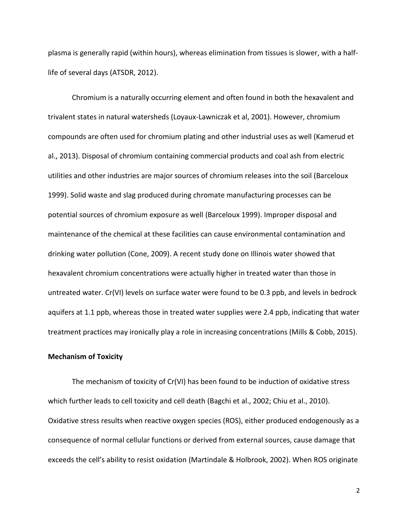plasma is generally rapid (within hours), whereas elimination from tissues is slower, with a halflife of several days (ATSDR, 2012).

Chromium is a naturally occurring element and often found in both the hexavalent and trivalent states in natural watersheds (Loyaux-Lawniczak et al, 2001). However, chromium compounds are often used for chromium plating and other industrial uses as well (Kamerud et al., 2013). Disposal of chromium containing commercial products and coal ash from electric utilities and other industries are major sources of chromium releases into the soil (Barceloux 1999). Solid waste and slag produced during chromate manufacturing processes can be potential sources of chromium exposure as well (Barceloux 1999). Improper disposal and maintenance of the chemical at these facilities can cause environmental contamination and drinking water pollution (Cone, 2009). A recent study done on Illinois water showed that hexavalent chromium concentrations were actually higher in treated water than those in untreated water. Cr(VI) levels on surface water were found to be 0.3 ppb, and levels in bedrock aquifers at 1.1 ppb, whereas those in treated water supplies were 2.4 ppb, indicating that water treatment practices may ironically play a role in increasing concentrations (Mills & Cobb, 2015).

# **Mechanism of Toxicity**

The mechanism of toxicity of Cr(VI) has been found to be induction of oxidative stress which further leads to cell toxicity and cell death (Bagchi et al., 2002; Chiu et al., 2010). Oxidative stress results when reactive oxygen species (ROS), either produced endogenously as a consequence of normal cellular functions or derived from external sources, cause damage that exceeds the cell's ability to resist oxidation (Martindale & Holbrook, 2002). When ROS originate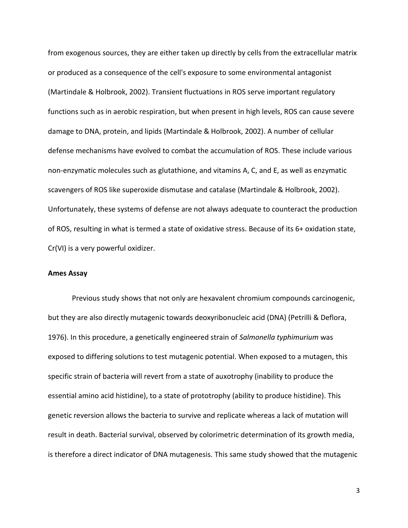from exogenous sources, they are either taken up directly by cells from the extracellular matrix or produced as a consequence of the cell's exposure to some environmental antagonist (Martindale & Holbrook, 2002). Transient fluctuations in ROS serve important regulatory functions such as in aerobic respiration, but when present in high levels, ROS can cause severe damage to DNA, protein, and lipids (Martindale & Holbrook, 2002). A number of cellular defense mechanisms have evolved to combat the accumulation of ROS. These include various non-enzymatic molecules such as glutathione, and vitamins A, C, and E, as well as enzymatic scavengers of ROS like superoxide dismutase and catalase (Martindale & Holbrook, 2002). Unfortunately, these systems of defense are not always adequate to counteract the production of ROS, resulting in what is termed a state of oxidative stress. Because of its 6+ oxidation state, Cr(VI) is a very powerful oxidizer.

### **Ames Assay**

Previous study shows that not only are hexavalent chromium compounds carcinogenic, but they are also directly mutagenic towards deoxyribonucleic acid (DNA) (Petrilli & Deflora, 1976). In this procedure, a genetically engineered strain of *Salmonella typhimurium* was exposed to differing solutions to test mutagenic potential. When exposed to a mutagen, this specific strain of bacteria will revert from a state of auxotrophy (inability to produce the essential amino acid histidine), to a state of prototrophy (ability to produce histidine). This genetic reversion allows the bacteria to survive and replicate whereas a lack of mutation will result in death. Bacterial survival, observed by colorimetric determination of its growth media, is therefore a direct indicator of DNA mutagenesis. This same study showed that the mutagenic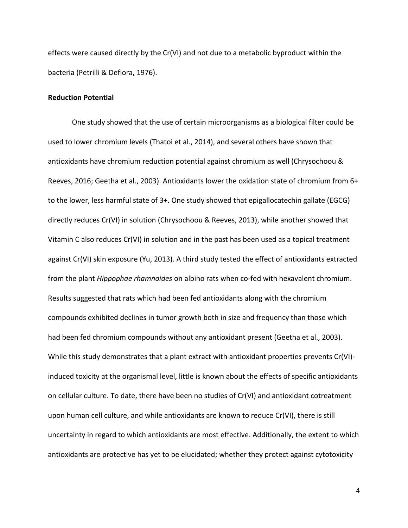effects were caused directly by the Cr(VI) and not due to a metabolic byproduct within the bacteria (Petrilli & Deflora, 1976).

# **Reduction Potential**

One study showed that the use of certain microorganisms as a biological filter could be used to lower chromium levels (Thatoi et al., 2014), and several others have shown that antioxidants have chromium reduction potential against chromium as well (Chrysochoou & Reeves, 2016; Geetha et al., 2003). Antioxidants lower the oxidation state of chromium from 6+ to the lower, less harmful state of 3+. One study showed that epigallocatechin gallate (EGCG) directly reduces Cr(VI) in solution (Chrysochoou & Reeves, 2013), while another showed that Vitamin C also reduces Cr(VI) in solution and in the past has been used as a topical treatment against Cr(VI) skin exposure (Yu, 2013). A third study tested the effect of antioxidants extracted from the plant *Hippophae rhamnoides* on albino rats when co-fed with hexavalent chromium. Results suggested that rats which had been fed antioxidants along with the chromium compounds exhibited declines in tumor growth both in size and frequency than those which had been fed chromium compounds without any antioxidant present (Geetha et al., 2003). While this study demonstrates that a plant extract with antioxidant properties prevents Cr(VI) induced toxicity at the organismal level, little is known about the effects of specific antioxidants on cellular culture. To date, there have been no studies of Cr(VI) and antioxidant cotreatment upon human cell culture, and while antioxidants are known to reduce Cr(VI), there is still uncertainty in regard to which antioxidants are most effective. Additionally, the extent to which antioxidants are protective has yet to be elucidated; whether they protect against cytotoxicity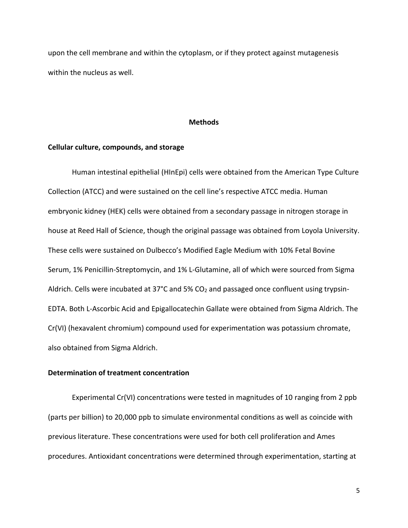upon the cell membrane and within the cytoplasm, or if they protect against mutagenesis within the nucleus as well.

#### **Methods**

# **Cellular culture, compounds, and storage**

Human intestinal epithelial (HInEpi) cells were obtained from the American Type Culture Collection (ATCC) and were sustained on the cell line's respective ATCC media. Human embryonic kidney (HEK) cells were obtained from a secondary passage in nitrogen storage in house at Reed Hall of Science, though the original passage was obtained from Loyola University. These cells were sustained on Dulbecco's Modified Eagle Medium with 10% Fetal Bovine Serum, 1% Penicillin-Streptomycin, and 1% L-Glutamine, all of which were sourced from Sigma Aldrich. Cells were incubated at 37°C and 5% CO<sub>2</sub> and passaged once confluent using trypsin-EDTA. Both L-Ascorbic Acid and Epigallocatechin Gallate were obtained from Sigma Aldrich. The Cr(VI) (hexavalent chromium) compound used for experimentation was potassium chromate, also obtained from Sigma Aldrich.

# **Determination of treatment concentration**

Experimental Cr(VI) concentrations were tested in magnitudes of 10 ranging from 2 ppb (parts per billion) to 20,000 ppb to simulate environmental conditions as well as coincide with previous literature. These concentrations were used for both cell proliferation and Ames procedures. Antioxidant concentrations were determined through experimentation, starting at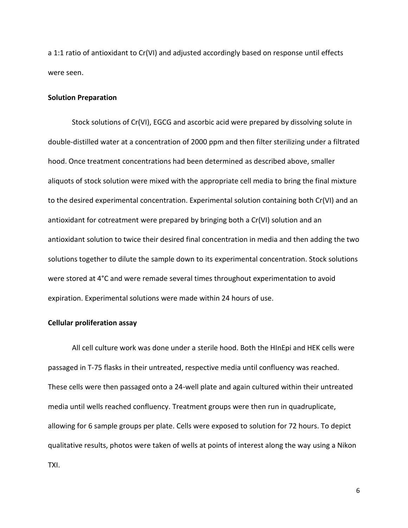a 1:1 ratio of antioxidant to Cr(VI) and adjusted accordingly based on response until effects were seen.

#### **Solution Preparation**

Stock solutions of Cr(VI), EGCG and ascorbic acid were prepared by dissolving solute in double-distilled water at a concentration of 2000 ppm and then filter sterilizing under a filtrated hood. Once treatment concentrations had been determined as described above, smaller aliquots of stock solution were mixed with the appropriate cell media to bring the final mixture to the desired experimental concentration. Experimental solution containing both Cr(VI) and an antioxidant for cotreatment were prepared by bringing both a Cr(VI) solution and an antioxidant solution to twice their desired final concentration in media and then adding the two solutions together to dilute the sample down to its experimental concentration. Stock solutions were stored at 4°C and were remade several times throughout experimentation to avoid expiration. Experimental solutions were made within 24 hours of use.

# **Cellular proliferation assay**

All cell culture work was done under a sterile hood. Both the HInEpi and HEK cells were passaged in T-75 flasks in their untreated, respective media until confluency was reached. These cells were then passaged onto a 24-well plate and again cultured within their untreated media until wells reached confluency. Treatment groups were then run in quadruplicate, allowing for 6 sample groups per plate. Cells were exposed to solution for 72 hours. To depict qualitative results, photos were taken of wells at points of interest along the way using a Nikon TXI.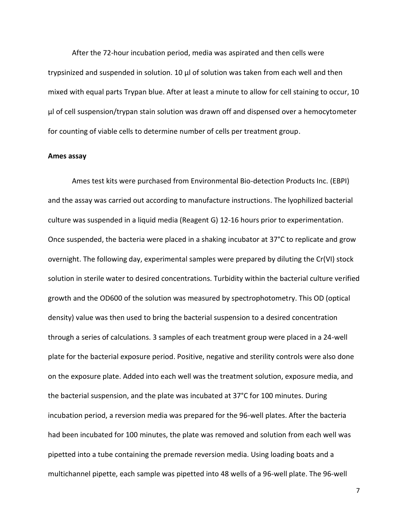After the 72-hour incubation period, media was aspirated and then cells were trypsinized and suspended in solution. 10 μl of solution was taken from each well and then mixed with equal parts Trypan blue. After at least a minute to allow for cell staining to occur, 10 μl of cell suspension/trypan stain solution was drawn off and dispensed over a hemocytometer for counting of viable cells to determine number of cells per treatment group.

#### **Ames assay**

Ames test kits were purchased from Environmental Bio-detection Products Inc. (EBPI) and the assay was carried out according to manufacture instructions. The lyophilized bacterial culture was suspended in a liquid media (Reagent G) 12-16 hours prior to experimentation. Once suspended, the bacteria were placed in a shaking incubator at 37°C to replicate and grow overnight. The following day, experimental samples were prepared by diluting the Cr(VI) stock solution in sterile water to desired concentrations. Turbidity within the bacterial culture verified growth and the OD600 of the solution was measured by spectrophotometry. This OD (optical density) value was then used to bring the bacterial suspension to a desired concentration through a series of calculations. 3 samples of each treatment group were placed in a 24-well plate for the bacterial exposure period. Positive, negative and sterility controls were also done on the exposure plate. Added into each well was the treatment solution, exposure media, and the bacterial suspension, and the plate was incubated at 37°C for 100 minutes. During incubation period, a reversion media was prepared for the 96-well plates. After the bacteria had been incubated for 100 minutes, the plate was removed and solution from each well was pipetted into a tube containing the premade reversion media. Using loading boats and a multichannel pipette, each sample was pipetted into 48 wells of a 96-well plate. The 96-well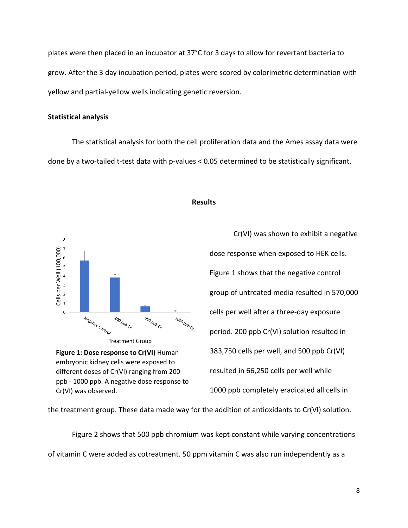plates were then placed in an incubator at 37°C for 3 days to allow for revertant bacteria to grow. After the 3 day incubation period, plates were scored by colorimetric determination with yellow and partial-yellow wells indicating genetic reversion.

# **Statistical analysis**

The statistical analysis for both the cell proliferation data and the Ames assay data were done by a two-tailed t-test data with p-values < 0.05 determined to be statistically significant.



**Figure 1: Dose response to Cr(VI)** Human embryonic kidney cells were exposed to different doses of Cr(VI) ranging from 200 ppb - 1000 ppb. A negative dose response to Cr(VI) was observed.

# **Results**

Cr(VI) was shown to exhibit a negative dose response when exposed to HEK cells. Figure 1 shows that the negative control group of untreated media resulted in 570,000 cells per well after a three-day exposure period. 200 ppb Cr(VI) solution resulted in 383,750 cells per well, and 500 ppb Cr(VI) resulted in 66,250 cells per well while 1000 ppb completely eradicated all cells in

the treatment group. These data made way for the addition of antioxidants to Cr(VI) solution.

Figure 2 shows that 500 ppb chromium was kept constant while varying concentrations of vitamin C were added as cotreatment. 50 ppm vitamin C was also run independently as a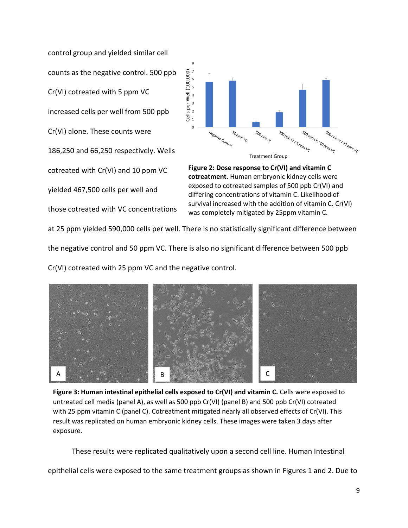control group and yielded similar cell counts as the negative control. 500 ppb Cr(VI) cotreated with 5 ppm VC increased cells per well from 500 ppb Cr(VI) alone. These counts were 186,250 and 66,250 respectively. Wells cotreated with Cr(VI) and 10 ppm VC yielded 467,500 cells per well and those cotreated with VC concentrations



**Figure 2: Dose response to Cr(VI) and vitamin C cotreatment.** Human embryonic kidney cells were exposed to cotreated samples of 500 ppb Cr(VI) and differing concentrations of vitamin C. Likelihood of survival increased with the addition of vitamin C. Cr(VI) was completely mitigated by 25ppm vitamin C.

at 25 ppm yielded 590,000 cells per well. There is no statistically significant difference between

the negative control and 50 ppm VC. There is also no significant difference between 500 ppb

Cr(VI) cotreated with 25 ppm VC and the negative control.



Figure 3: Human intestinal epithelial cells exposed to Cr(VI) and vitamin C. Cells were exposed to untreated cell media (panel A), as well as 500 ppb Cr(VI) (panel B) and 500 ppb Cr(VI) cotreated with 25 ppm vitamin C (panel C). Cotreatment mitigated nearly all observed effects of Cr(VI). This result was replicated on human embryonic kidney cells. These images were taken 3 days after exposure.

These results were replicated qualitatively upon a second cell line. Human Intestinal

epithelial cells were exposed to the same treatment groups as shown in Figures 1 and 2. Due to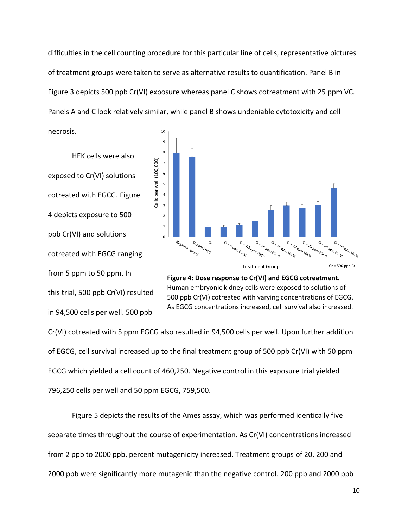difficulties in the cell counting procedure for this particular line of cells, representative pictures of treatment groups were taken to serve as alternative results to quantification. Panel B in Figure 3 depicts 500 ppb Cr(VI) exposure whereas panel C shows cotreatment with 25 ppm VC. Panels A and C look relatively similar, while panel B shows undeniable cytotoxicity and cell

HEK cells were also exposed to Cr(VI) solutions cotreated with EGCG. Figure 4 depicts exposure to 500 ppb Cr(VI) and solutions cotreated with EGCG ranging from 5 ppm to 50 ppm. In this trial, 500 ppb Cr(VI) resulted in 94,500 cells per well. 500 ppb

necrosis.





Cr(VI) cotreated with 5 ppm EGCG also resulted in 94,500 cells per well. Upon further addition of EGCG, cell survival increased up to the final treatment group of 500 ppb Cr(VI) with 50 ppm EGCG which yielded a cell count of 460,250. Negative control in this exposure trial yielded 796,250 cells per well and 50 ppm EGCG, 759,500.

Figure 5 depicts the results of the Ames assay, which was performed identically five separate times throughout the course of experimentation. As Cr(VI) concentrations increased from 2 ppb to 2000 ppb, percent mutagenicity increased. Treatment groups of 20, 200 and 2000 ppb were significantly more mutagenic than the negative control. 200 ppb and 2000 ppb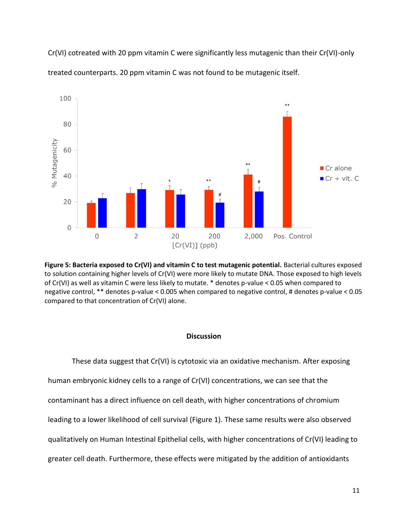Cr(VI) cotreated with 20 ppm vitamin C were significantly less mutagenic than their Cr(VI)-only treated counterparts. 20 ppm vitamin C was not found to be mutagenic itself.



**Figure 5: Bacteria exposed to Cr(VI) and vitamin C to test mutagenic potential.** Bacterial cultures exposed to solution containing higher levels of Cr(VI) were more likely to mutate DNA. Those exposed to high levels of Cr(VI) as well as vitamin C were less likely to mutate. \* denotes p-value < 0.05 when compared to negative control, \*\* denotes p-value < 0.005 when compared to negative control, # denotes p-value < 0.05 compared to that concentration of Cr(VI) alone.

### **Discussion**

These data suggest that Cr(VI) is cytotoxic via an oxidative mechanism. After exposing human embryonic kidney cells to a range of Cr(VI) concentrations, we can see that the contaminant has a direct influence on cell death, with higher concentrations of chromium leading to a lower likelihood of cell survival (Figure 1). These same results were also observed qualitatively on Human Intestinal Epithelial cells, with higher concentrations of Cr(VI) leading to greater cell death. Furthermore, these effects were mitigated by the addition of antioxidants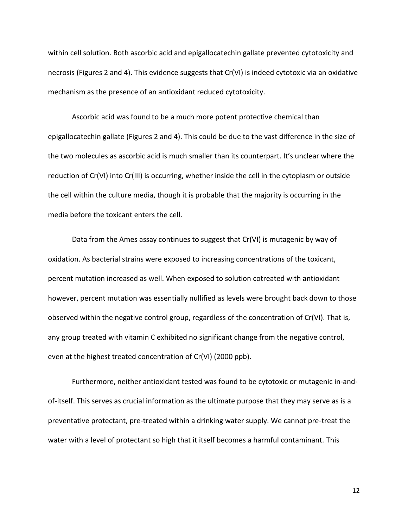within cell solution. Both ascorbic acid and epigallocatechin gallate prevented cytotoxicity and necrosis (Figures 2 and 4). This evidence suggests that Cr(VI) is indeed cytotoxic via an oxidative mechanism as the presence of an antioxidant reduced cytotoxicity.

Ascorbic acid was found to be a much more potent protective chemical than epigallocatechin gallate (Figures 2 and 4). This could be due to the vast difference in the size of the two molecules as ascorbic acid is much smaller than its counterpart. It's unclear where the reduction of Cr(VI) into Cr(III) is occurring, whether inside the cell in the cytoplasm or outside the cell within the culture media, though it is probable that the majority is occurring in the media before the toxicant enters the cell.

Data from the Ames assay continues to suggest that Cr(VI) is mutagenic by way of oxidation. As bacterial strains were exposed to increasing concentrations of the toxicant, percent mutation increased as well. When exposed to solution cotreated with antioxidant however, percent mutation was essentially nullified as levels were brought back down to those observed within the negative control group, regardless of the concentration of Cr(VI). That is, any group treated with vitamin C exhibited no significant change from the negative control, even at the highest treated concentration of Cr(VI) (2000 ppb).

Furthermore, neither antioxidant tested was found to be cytotoxic or mutagenic in-andof-itself. This serves as crucial information as the ultimate purpose that they may serve as is a preventative protectant, pre-treated within a drinking water supply. We cannot pre-treat the water with a level of protectant so high that it itself becomes a harmful contaminant. This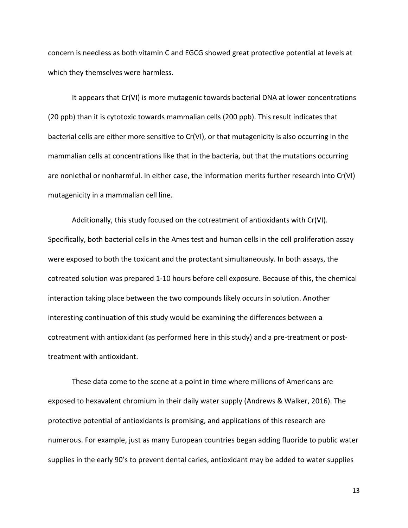concern is needless as both vitamin C and EGCG showed great protective potential at levels at which they themselves were harmless.

It appears that Cr(VI) is more mutagenic towards bacterial DNA at lower concentrations (20 ppb) than it is cytotoxic towards mammalian cells (200 ppb). This result indicates that bacterial cells are either more sensitive to Cr(VI), or that mutagenicity is also occurring in the mammalian cells at concentrations like that in the bacteria, but that the mutations occurring are nonlethal or nonharmful. In either case, the information merits further research into Cr(VI) mutagenicity in a mammalian cell line.

Additionally, this study focused on the cotreatment of antioxidants with Cr(VI). Specifically, both bacterial cells in the Ames test and human cells in the cell proliferation assay were exposed to both the toxicant and the protectant simultaneously. In both assays, the cotreated solution was prepared 1-10 hours before cell exposure. Because of this, the chemical interaction taking place between the two compounds likely occurs in solution. Another interesting continuation of this study would be examining the differences between a cotreatment with antioxidant (as performed here in this study) and a pre-treatment or posttreatment with antioxidant.

These data come to the scene at a point in time where millions of Americans are exposed to hexavalent chromium in their daily water supply (Andrews & Walker, 2016). The protective potential of antioxidants is promising, and applications of this research are numerous. For example, just as many European countries began adding fluoride to public water supplies in the early 90's to prevent dental caries, antioxidant may be added to water supplies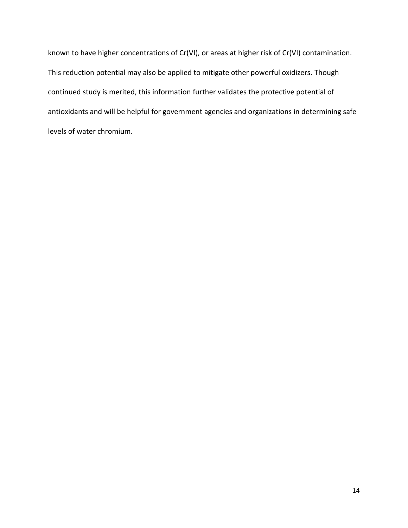known to have higher concentrations of Cr(VI), or areas at higher risk of Cr(VI) contamination. This reduction potential may also be applied to mitigate other powerful oxidizers. Though continued study is merited, this information further validates the protective potential of antioxidants and will be helpful for government agencies and organizations in determining safe levels of water chromium.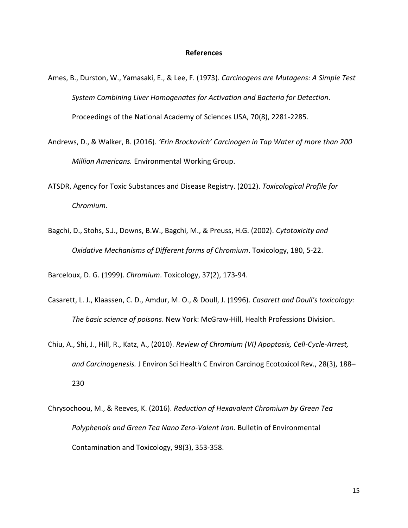#### **References**

- Ames, B., Durston, W., Yamasaki, E., & Lee, F. (1973). *Carcinogens are Mutagens: A Simple Test System Combining Liver Homogenates for Activation and Bacteria for Detection*. Proceedings of the National Academy of Sciences USA, 70(8), 2281-2285.
- Andrews, D., & Walker, B. (2016). *'Erin Brockovich' Carcinogen in Tap Water of more than 200 Million Americans.* Environmental Working Group.
- ATSDR, Agency for Toxic Substances and Disease Registry. (2012). *Toxicological Profile for Chromium.*
- Bagchi, D., Stohs, S.J., Downs, B.W., Bagchi, M., & Preuss, H.G. (2002). *Cytotoxicity and Oxidative Mechanisms of Different forms of Chromium*. Toxicology, 180, 5-22.

Barceloux, D. G. (1999). *Chromium*. Toxicology, 37(2), 173-94.

- Casarett, L. J., Klaassen, C. D., Amdur, M. O., & Doull, J. (1996). *Casarett and Doull's toxicology: The basic science of poisons*. New York: McGraw-Hill, Health Professions Division.
- Chiu, A., Shi, J., Hill, R., Katz, A., (2010). *Review of Chromium (VI) Apoptosis, Cell-Cycle-Arrest, and Carcinogenesis.* J Environ Sci Health C Environ Carcinog Ecotoxicol Rev., 28(3), 188– 230
- Chrysochoou, M., & Reeves, K. (2016). *Reduction of Hexavalent Chromium by Green Tea Polyphenols and Green Tea Nano Zero-Valent Iron*. Bulletin of Environmental Contamination and Toxicology, 98(3), 353-358.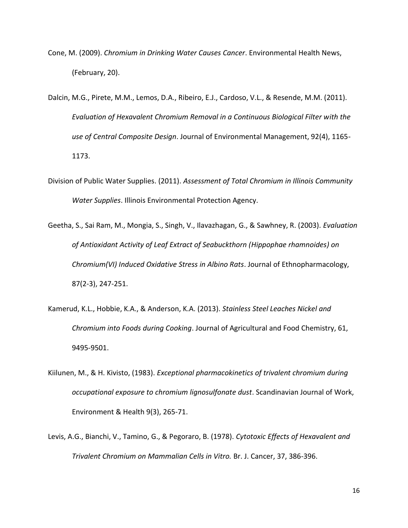- Cone, M. (2009). *Chromium in Drinking Water Causes Cancer*. Environmental Health News, (February, 20).
- Dalcin, M.G., Pirete, M.M., Lemos, D.A., Ribeiro, E.J., Cardoso, V.L., & Resende, M.M. (2011). *Evaluation of Hexavalent Chromium Removal in a Continuous Biological Filter with the use of Central Composite Design*. Journal of Environmental Management, 92(4), 1165- 1173.
- Division of Public Water Supplies. (2011). *Assessment of Total Chromium in Illinois Community Water Supplies*. Illinois Environmental Protection Agency.
- Geetha, S., Sai Ram, M., Mongia, S., Singh, V., Ilavazhagan, G., & Sawhney, R. (2003). *Evaluation of Antioxidant Activity of Leaf Extract of Seabuckthorn (Hippophae rhamnoides) on Chromium(VI) Induced Oxidative Stress in Albino Rats*. Journal of Ethnopharmacology, 87(2-3), 247-251.
- Kamerud, K.L., Hobbie, K.A., & Anderson, K.A. (2013). *Stainless Steel Leaches Nickel and Chromium into Foods during Cooking*. Journal of Agricultural and Food Chemistry, 61, 9495-9501.
- Kiilunen, M., & H. Kivisto, (1983). *Exceptional pharmacokinetics of trivalent chromium during occupational exposure to chromium lignosulfonate dust*. Scandinavian Journal of Work, Environment & Health 9(3), 265-71.
- Levis, A.G., Bianchi, V., Tamino, G., & Pegoraro, B. (1978). *Cytotoxic Effects of Hexavalent and Trivalent Chromium on Mammalian Cells in Vitro.* Br. J. Cancer, 37, 386-396.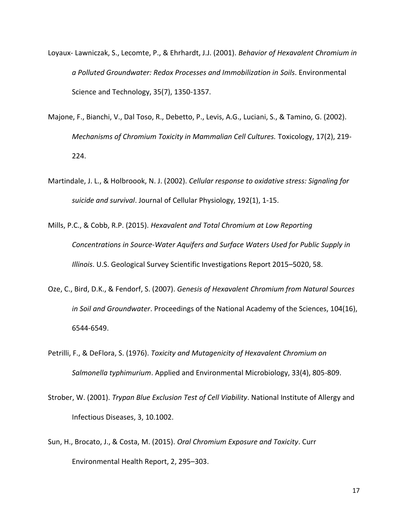- Loyaux- Lawniczak, S., Lecomte, P., & Ehrhardt, J.J. (2001). *Behavior of Hexavalent Chromium in a Polluted Groundwater: Redox Processes and Immobilization in Soils*. Environmental Science and Technology, 35(7), 1350-1357.
- Majone, F., Bianchi, V., Dal Toso, R., Debetto, P., Levis, A.G., Luciani, S., & Tamino, G. (2002). *Mechanisms of Chromium Toxicity in Mammalian Cell Cultures.* Toxicology, 17(2), 219- 224.
- Martindale, J. L., & Holbroook, N. J. (2002). *Cellular response to oxidative stress: Signaling for suicide and survival*. Journal of Cellular Physiology, 192(1), 1-15.
- Mills, P.C., & Cobb, R.P. (2015). *Hexavalent and Total Chromium at Low Reporting Concentrations in Source-Water Aquifers and Surface Waters Used for Public Supply in Illinois*. U.S. Geological Survey Scientific Investigations Report 2015–5020, 58.
- Oze, C., Bird, D.K., & Fendorf, S. (2007). *Genesis of Hexavalent Chromium from Natural Sources in Soil and Groundwater*. Proceedings of the National Academy of the Sciences, 104(16), 6544-6549.
- Petrilli, F., & DeFlora, S. (1976). *Toxicity and Mutagenicity of Hexavalent Chromium on Salmonella typhimurium*. Applied and Environmental Microbiology, 33(4), 805-809.
- Strober, W. (2001). *Trypan Blue Exclusion Test of Cell Viability*. National Institute of Allergy and Infectious Diseases, 3, 10.1002.
- Sun, H., Brocato, J., & Costa, M. (2015). *Oral Chromium Exposure and Toxicity*. Curr Environmental Health Report, 2, 295–303.